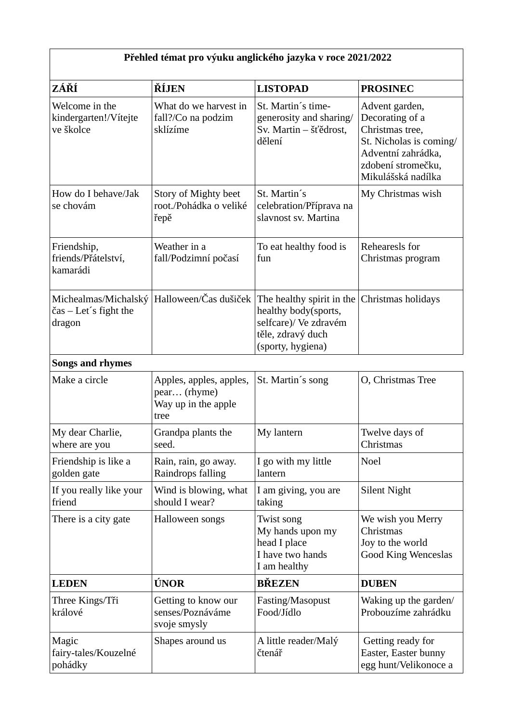## **Přehled témat pro výuku anglického jazyka v roce 2021/2022**

| ZÁŘÍ                                                                    | ŘÍJEN                                                                  | <b>LISTOPAD</b>                                                                                                      | <b>PROSINEC</b>                                                                                                                                   |  |
|-------------------------------------------------------------------------|------------------------------------------------------------------------|----------------------------------------------------------------------------------------------------------------------|---------------------------------------------------------------------------------------------------------------------------------------------------|--|
| Welcome in the<br>kindergarten!/Vítejte<br>ve školce                    | What do we harvest in<br>fall?/Co na podzim<br>sklízíme                | St. Martin's time-<br>generosity and sharing/<br>Sv. Martin - šťědrost,<br>dělení                                    | Advent garden,<br>Decorating of a<br>Christmas tree,<br>St. Nicholas is coming/<br>Adventní zahrádka,<br>zdobení stromečku,<br>Mikulášská nadílka |  |
| How do I behave/Jak<br>se chovám                                        | Story of Mighty beet<br>root./Pohádka o veliké<br>řepě                 | St. Martin's<br>celebration/Příprava na<br>slavnost sv. Martina                                                      | My Christmas wish                                                                                                                                 |  |
| Friendship,<br>friends/Přátelství,<br>kamarádi                          | Weather in a<br>fall/Podzimní počasí                                   | To eat healthy food is<br>fun                                                                                        | Rehearesls for<br>Christmas program                                                                                                               |  |
| Michealmas/Michalský<br>$\text{čas} - \text{Let's fight}$ the<br>dragon | Halloween/Čas dušiček                                                  | The healthy spirit in the<br>healthy body(sports,<br>selfcare)/ Ve zdravém<br>těle, zdravý duch<br>(sporty, hygiena) | Christmas holidays                                                                                                                                |  |
| <b>Songs and rhymes</b>                                                 |                                                                        |                                                                                                                      |                                                                                                                                                   |  |
| Make a circle                                                           | Apples, apples, apples,<br>pear (rhyme)<br>Way up in the apple<br>tree | St. Martin's song                                                                                                    | O, Christmas Tree                                                                                                                                 |  |
| My dear Charlie,<br>where are you                                       | Grandpa plants the<br>seed.                                            | My lantern                                                                                                           | Twelve days of<br>Christmas                                                                                                                       |  |
| Friendship is like a<br>golden gate                                     | Rain, rain, go away.<br>Raindrops falling                              | I go with my little<br>lantern                                                                                       | <b>Noel</b>                                                                                                                                       |  |
| If you really like your<br>friend                                       | Wind is blowing, what<br>should I wear?                                | I am giving, you are<br>taking                                                                                       | <b>Silent Night</b>                                                                                                                               |  |
| There is a city gate                                                    | Halloween songs                                                        | Twist song<br>My hands upon my<br>head I place<br>I have two hands<br>I am healthy                                   | We wish you Merry<br>Christmas<br>Joy to the world<br><b>Good King Wenceslas</b>                                                                  |  |
| <b>LEDEN</b>                                                            | ÚNOR                                                                   | <b>BŘEZEN</b>                                                                                                        | <b>DUBEN</b>                                                                                                                                      |  |
| Three Kings/Tři<br>králové                                              | Getting to know our<br>senses/Poznáváme<br>svoje smysly                | Fasting/Masopust<br>Food/Jídlo                                                                                       | Waking up the garden/<br>Probouzíme zahrádku                                                                                                      |  |
| Magic<br>fairy-tales/Kouzelné<br>pohádky                                | Shapes around us                                                       | A little reader/Malý<br>čtenář                                                                                       | Getting ready for<br>Easter, Easter bunny<br>egg hunt/Velikonoce a                                                                                |  |